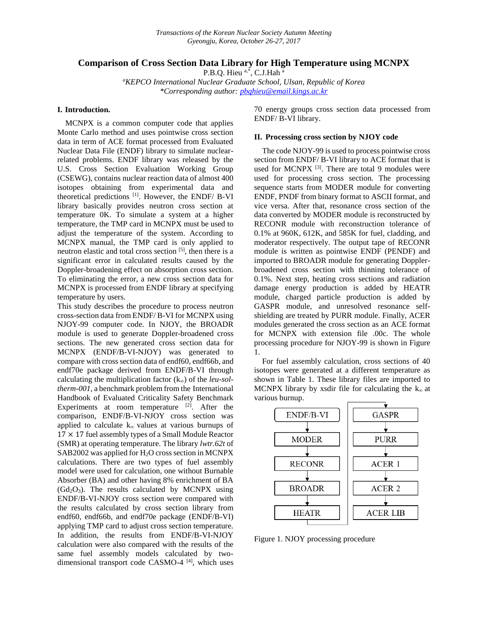# **Comparison of Cross Section Data Library for High Temperature using MCNPX**

P.B.O. Hieu a,\*, C.J.Hah a

*<sup>a</sup>KEPCO International Nuclear Graduate School, Ulsan, Republic of Korea \*Corresponding author: [pbqhieu@email.kings.ac.kr](mailto:pbqhieu@email.kings.ac.kr)*

## **I. Introduction.**

MCNPX is a common computer code that applies Monte Carlo method and uses pointwise cross section data in term of ACE format processed from Evaluated Nuclear Data File (ENDF) library to simulate nuclearrelated problems. ENDF library was released by the U.S. Cross Section Evaluation Working Group (CSEWG), contains nuclear reaction data of almost 400 isotopes obtaining from experimental data and theoretical predictions <sup>[1]</sup>. However, the ENDF/ B-VI library basically provides neutron cross section at temperature 0K. To simulate a system at a higher temperature, the TMP card in MCNPX must be used to adjust the temperature of the system. According to MCNPX manual, the TMP card is only applied to neutron elastic and total cross section [5], then there is a significant error in calculated results caused by the Doppler-broadening effect on absorption cross section. To eliminating the error, a new cross section data for MCNPX is processed from ENDF library at specifying temperature by users.

This study describes the procedure to process neutron cross-section data from ENDF/ B-VI for MCNPX using NJOY-99 computer code. In NJOY, the BROADR module is used to generate Doppler-broadened cross sections. The new generated cross section data for MCNPX (ENDF/B-VI-NJOY) was generated to compare with cross section data of endf60, endf66b, and endf70e package derived from ENDF/B-VI through calculating the multiplication factor (k∞) of the *leu-soltherm-001,* a benchmark problem from the International Handbook of Evaluated Criticality Safety Benchmark Experiments at room temperature  $[2]$ . After the comparison, ENDF/B-VI-NJOY cross section was applied to calculate  $k_{\infty}$  values at various burnups of  $17 \times 17$  fuel assembly types of a Small Module Reactor (SMR) at operating temperature. The library *lwtr.62t* of SAB2002 was applied for H<sub>2</sub>O cross section in MCNPX calculations. There are two types of fuel assembly model were used for calculation, one without Burnable Absorber (BA) and other having 8% enrichment of BA  $(Gd_2O_3)$ . The results calculated by MCNPX using ENDF/B-VI-NJOY cross section were compared with the results calculated by cross section library from endf60, endf66b, and endf70e package (ENDF/B-VI) applying TMP card to adjust cross section temperature. In addition, the results from ENDF/B-VI-NJOY calculation were also compared with the results of the same fuel assembly models calculated by twodimensional transport code CASMO-4 [4], which uses

70 energy groups cross section data processed from ENDF/ B-VI library.

### **II. Processing cross section by NJOY code**

The code NJOY-99 is used to process pointwise cross section from ENDF/ B-VI library to ACE format that is used for MCNPX  $[3]$ . There are total 9 modules were used for processing cross section. The processing sequence starts from MODER module for converting ENDF, PNDF from binary format to ASCII format, and vice versa. After that, resonance cross section of the data converted by MODER module is reconstructed by RECONR module with reconstruction tolerance of 0.1% at 960K, 612K, and 585K for fuel, cladding, and moderator respectively. The output tape of RECONR module is written as pointwise ENDF (PENDF) and imported to BROADR module for generating Dopplerbroadened cross section with thinning tolerance of 0.1%. Next step, heating cross sections and radiation damage energy production is added by HEATR module, charged particle production is added by GASPR module, and unresolved resonance selfshielding are treated by PURR module. Finally, ACER modules generated the cross section as an ACE format for MCNPX with extension file .00c. The whole processing procedure for NJOY-99 is shown in Figure 1.

For fuel assembly calculation, cross sections of 40 isotopes were generated at a different temperature as shown in Table 1. These library files are imported to MCNPX library by xsdir file for calculating the  $k_{\infty}$  at various burnup.



Figure 1. NJOY processing procedure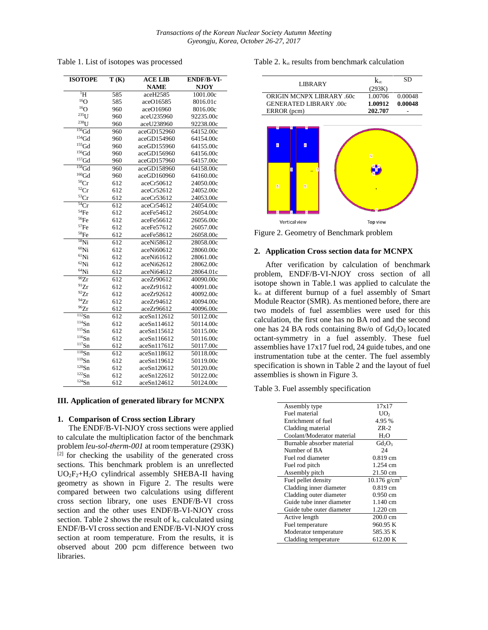Table 1. List of isotopes was processed

| <b>ISOTOPE</b>                   | T(K) | <b>ACE LIB</b> | ENDF/B-VI-  |
|----------------------------------|------|----------------|-------------|
|                                  |      | <b>NAME</b>    | <b>NJOY</b> |
| $\overline{H}$                   | 585  | aceH2585       | 1001.00c    |
| $^{16}O$                         | 585  | aceO16585      | 8016.01c    |
| $^{16}O$                         | 960  | aceO16960      | 8016.00c    |
| $235$ U                          | 960  | aceU235960     | 92235.00c   |
| $^{238}$ U                       | 960  | aceU238960     | 92238.00c   |
| $156$ Gd                         | 960  | aceGD152960    | 64152.00c   |
| ${}^{154}$ Gd                    | 960  | aceGD154960    | 64154.00c   |
| ${}^{155}$ Gd                    | 960  | aceGD155960    | 64155.00c   |
| $^{156}\mathrm{Gd}$              | 960  | aceGD156960    | 64156.00c   |
| ${}^{157}\mathrm{Gd}$            | 960  | aceGD157960    | 64157.00c   |
| $158$ Gd                         | 960  | aceGD158960    | 64158.00c   |
| ${}^{160}\text{Gd}$              | 960  | aceGD160960    | 64160.00c   |
| ${}^{50}\mathrm{Cr}$             | 612  | aceCr50612     | 24050.00c   |
| ${}^{52}Cr$                      | 612  | aceCr52612     | 24052.00c   |
| ${}^{53}Cr$                      | 612  | aceCr53612     | 24053.00c   |
| 54Cr                             | 612  | aceCr54612     | 24054.00c   |
| 54Fe                             | 612  | aceFe54612     | 26054.00c   |
| 56Fe                             | 612  | aceFe56612     | 26056.00c   |
| ${}^{57}Fe$                      | 612  | aceFe57612     | 26057.00c   |
| ${}^{58}\text{Fe}$               | 612  | aceFe58612     | 26058.00c   |
| $58$ Ni                          | 612  | aceNi58612     | 28058.00c   |
| $60$ Ni                          | 612  | aceNi60612     | 28060.00c   |
| ${}^{61}$ Ni                     | 612  | aceNi61612     | 28061.00c   |
| ${}^{62}$ Ni                     | 612  | aceNi62612     | 28062.00c   |
| $^{64}$ Ni                       | 612  | aceNi64612     | 28064.01c   |
| $\overline{^{90}}Zr$             | 612  | aceZr90612     | 40090.00c   |
| 91Zr                             | 612  | aceZr91612     | 40091.00c   |
| $^{92}Zr$                        | 612  | aceZr92612     | 40092.00c   |
| $\rm ^{94}Zr$                    | 612  | aceZr94612     | 40094.00c   |
| $^{96}Zr$                        | 612  | aceZr96612     | 40096.00c   |
| $\overline{^{112}}\overline{S}n$ | 612  | aceSn112612    | 50112.00c   |
| $114$ Sn                         | 612  | aceSn114612    | 50114.00c   |
| $115$ Sn                         | 612  | aceSn115612    | 50115.00c   |
| $116$ Sn                         | 612  | aceSn116612    | 50116.00c   |
| $117S_1$                         | 612  | aceSn117612    | 50117.00c   |
| $\overline{^{118}}$ Sn           | 612  | aceSn118612    | 50118.00c   |
| $119$ Sn                         | 612  | aceSn119612    | 50119.00c   |
| $120$ Sn                         | 612  | aceSn120612    | 50120.00c   |
| $122$ Sn                         | 612  | aceSn122612    | 50122.00c   |
| $124$ Sn                         | 612  | aceSn124612    | 50124.00c   |

### **III. Application of generated library for MCNPX**

## **1. Comparison of Cross section Library**

The ENDF/B-VI-NJOY cross sections were applied to calculate the multiplication factor of the benchmark problem *leu-sol-therm-001* at room temperature (293K) [2] for checking the usability of the generated cross sections. This benchmark problem is an unreflected  $UO<sub>2</sub>F<sub>2</sub>+H<sub>2</sub>O$  cylindrical assembly SHEBA-II having geometry as shown in Figure 2. The results were compared between two calculations using different cross section library, one uses ENDF/B-VI cross section and the other uses ENDF/B-VI-NJOY cross section. Table 2 shows the result of  $k_{\infty}$  calculated using ENDF/B-VI cross section and ENDF/B-VI-NJOY cross section at room temperature. From the results, it is observed about 200 pcm difference between two libraries.

Table 2.  $k_{\infty}$  results from benchmark calculation



Figure 2. Geometry of Benchmark problem

### **2. Application Cross section data for MCNPX**

After verification by calculation of benchmark problem, ENDF/B-VI-NJOY cross section of all isotope shown in Table.1 was applied to calculate the k<sup>∞</sup> at different burnup of a fuel assembly of Smart Module Reactor (SMR). As mentioned before, there are two models of fuel assemblies were used for this calculation, the first one has no BA rod and the second one has 24 BA rods containing  $8w/o$  of  $Gd<sub>2</sub>O<sub>3</sub>$  located octant-symmetry in a fuel assembly. These fuel assemblies have 17x17 fuel rod, 24 guide tubes, and one instrumentation tube at the center. The fuel assembly specification is shown in Table 2 and the layout of fuel assemblies is shown in Figure 3.

Table 3. Fuel assembly specification

| Assembly type              | 17x17                      |
|----------------------------|----------------------------|
| Fuel material              | UO <sub>2</sub>            |
| Enrichment of fuel         | 4.95 %                     |
| Cladding material          | $ZR-2$                     |
| Coolant/Moderator material | H <sub>2</sub> O           |
| Burnable absorber material | $Gd_2O_3$                  |
| Number of BA               | 24                         |
| Fuel rod diameter          | $0.819$ cm                 |
| Fuel rod pitch             | 1.254 cm                   |
| Assembly pitch             | 21.50 cm                   |
| Fuel pellet density        | $10.176$ g/cm <sup>3</sup> |
| Cladding inner diameter    | $0.819$ cm                 |
| Cladding outer diameter    | $0.950 \text{ cm}$         |
| Guide tube inner diameter  | 1.140 cm                   |
| Guide tube outer diameter  | 1.220 cm                   |
| Active length              | $200.0 \text{ cm}$         |
| Fuel temperature           | 960.95 K                   |
| Moderator temperature      | 585.35 K                   |
| Cladding temperature       | 612.00 K                   |